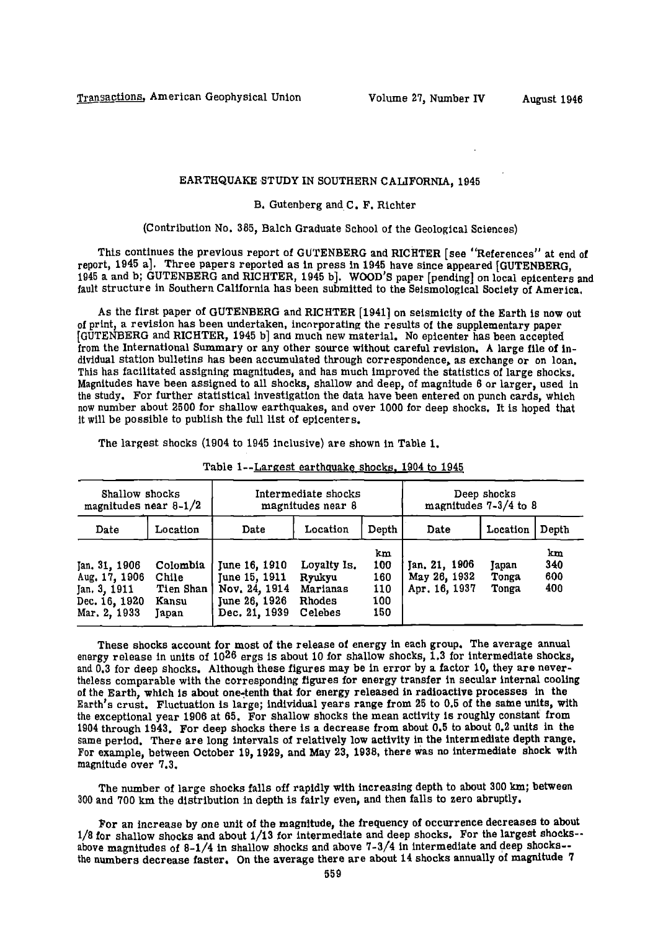## EARTHQUAKE STUDY IN SOUTHERN CALIFORNIA, 1945

## B. Gutenberg and C. F. Richter

(Contribution No. 385, Balch Graduate School of the Geological Sciences)

This continues the previous report of GUTENBERG and RICHTER [see "References" at end of report, 1945 a]. Three papers reported as in press In 1945 have since appeared [GUTENBERG, 1945 a and b; GUTENBERG and RICHTER, 1945 b]. WOOD'S paper [pending] on local epicenters and fault structure in Southern California has been submitted to the Seismological Society of America,

As the first paper of GUTENBERG and RICHTER [1941] on seismicity of the Earth is now out of print, a revision has been undertaken, incorporating the results of the supplementary paper [GUTENBERG and RICHTER, 1945 b] and much new material. No epicenter has been accepted from the International Summary or any other source without careful revision. A large file of individual station bulletins has been accumulated through correspondence, as exchange or on loan. This has facilitated assigning magnitudes, and has much improved the statistics of large shocks. Magnitudes have been assigned to all shocks, shallow and deep, of magnitude 6 or larger, used in the study. For further statistical investigation the data have been entered on punch cards, which now number about 2500 for shallow earthquakes, and over 1000 for deep shocks. It is hoped that it will be possible to publish the full list of epicenters.

The largest shocks (1904 to 1945 inclusive) are shown in Table 1.

| Shallow shocks<br>magnitudes near $8-1/2$                                       |                                                  | Intermediate shocks<br>magnitudes near 8                                          |                                                        |                                       | Deep shocks<br>magnitudes $7-3/4$ to 8         |                         |                         |
|---------------------------------------------------------------------------------|--------------------------------------------------|-----------------------------------------------------------------------------------|--------------------------------------------------------|---------------------------------------|------------------------------------------------|-------------------------|-------------------------|
| Date                                                                            | Location                                         | Date                                                                              | Location                                               | Depth                                 | Date                                           | Location                | Depth                   |
| Jan. 31. 1906<br>Aug. 17, 1906<br>Jan. 3, 1911<br>Dec. 16, 1920<br>Mar, 2, 1933 | Colombia<br>Chile<br>Tien Shan<br>Kansu<br>Japan | June 16, 1910<br>June 15, 1911<br>Nov. 24, 1914<br>June 26, 1926<br>Dec. 21, 1939 | Loyalty Is.<br>Rvukvu<br>Marianas<br>Rhodes<br>Celebes | km<br>100<br>160<br>110<br>100<br>150 | Jan. 21, 1906<br>May 26, 1932<br>Apr. 16, 1937 | Japan<br>Tonga<br>Tonga | km<br>340<br>600<br>400 |

| Table 1--Largest earthquake shocks, 1904 to 1945 |  |  |
|--------------------------------------------------|--|--|
|                                                  |  |  |

These shocks account for most of the release of energy in each group. The average annual energy release in units of 10<sup>26</sup> ergs is about 10 for shallow shocks, 1.3 for intermediate shocks, and 0.3 for deep shocks. Although these figures may be in error by a factor 10, they are nevertheless comparable with the corresponding figures for energy transfer in secular internal cooling of the Earth, which is about one-tenth that for energy released in radioactive processes in the Earth's crust. Fluctuation is large; individual years range from 25 to 0.5 of the same units, with the exceptional year 1906 at 65. For shallow shocks the mean activity is roughly constant from 1904 through 1943. For deep shocks there is a decrease from about 0.5 to about 0.2 units in the same period. There are long intervals of relatively low activity in the intermediate depth range. For example, between October 19, 1929, and May 23, 1938, there was no intermediate shock with magnitude over 7.3.

The number of large shocks falls off rapidly with increasing depth to about 300 km; between 300 and 700 km the distribution in depth is fairly even, and then falls to zero abruptly.

For an increase by one unit of the magnitude, the frequency of occurrence decreases to about 1/8 for shallow shocks and about 1/13 for intermediate and deep shocks. For the largest shocksabove magnitudes of 8-1/4 in shallow shocks and above 7-3/4 in intermediate and deep shocks-the numbers decrease faster. On the average there are about 14 shocks annually of magnitude 7